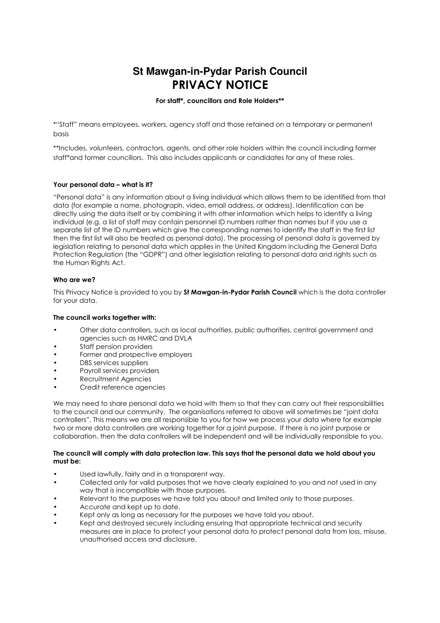# **St Mawgan-in-Pydar Parish Council PRIVACY NOTICE**

# **For staff\*, councillors and Role Holders\*\***

\*"Staff" means employees, workers, agency staff and those retained on a temporary or permanent basis

\*\*Includes, volunteers, contractors, agents, and other role holders within the council including former staff\*and former councillors. This also includes applicants or candidates for any of these roles.

# **Your personal data – what is it?**

"Personal data" is any information about a living individual which allows them to be identified from that data (for example a name, photograph, video, email address, or address). Identification can be directly using the data itself or by combining it with other information which helps to identify a living individual (e.g. a list of staff may contain personnel ID numbers rather than names but if you use a separate list of the ID numbers which give the corresponding names to identify the staff in the first list then the first list will also be treated as personal data). The processing of personal data is governed by legislation relating to personal data which applies in the United Kingdom including the General Data Protection Regulation (the "GDPR") and other legislation relating to personal data and rights such as the Human Rights Act.

## **Who are we?**

This Privacy Notice is provided to you by **St Mawgan-in-Pydar Parish Council** which is the data controller for your data.

## **The council works together with:**

- Other data controllers, such as local authorities, public authorities, central government and agencies such as HMRC and DVLA
- Staff pension providers
- Former and prospective employers
- DBS services suppliers
- Payroll services providers
- Recruitment Agencies • Credit reference agencies

We may need to share personal data we hold with them so that they can carry out their responsibilities to the council and our community. The organisations referred to above will sometimes be "joint data controllers". This means we are all responsible to you for how we process your data where for example two or more data controllers are working together for a joint purpose. If there is no joint purpose or collaboration, then the data controllers will be independent and will be individually responsible to you.

## **The council will comply with data protection law. This says that the personal data we hold about you must be:**

- Used lawfully, fairly and in a transparent way.
- Collected only for valid purposes that we have clearly explained to you and not used in any way that is incompatible with those purposes.
- Relevant to the purposes we have told you about and limited only to those purposes.
- Accurate and kept up to date.
- Kept only as long as necessary for the purposes we have told you about.
- Kept and destroyed securely including ensuring that appropriate technical and security measures are in place to protect your personal data to protect personal data from loss, misuse, unauthorised access and disclosure.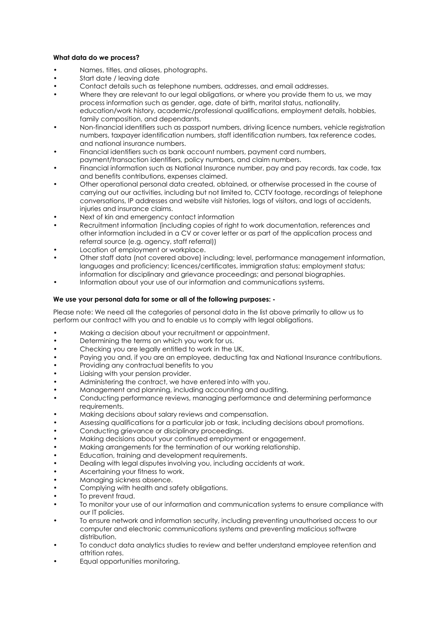# **What data do we process?**

- Names, titles, and aliases, photographs.
- Start date / leaving date
- Contact details such as telephone numbers, addresses, and email addresses.
- Where they are relevant to our legal obligations, or where you provide them to us, we may process information such as gender, age, date of birth, marital status, nationality, education/work history, academic/professional qualifications, employment details, hobbies, family composition, and dependants.
- Non-financial identifiers such as passport numbers, driving licence numbers, vehicle registration numbers, taxpayer identification numbers, staff identification numbers, tax reference codes, and national insurance numbers.
- Financial identifiers such as bank account numbers, payment card numbers,
- payment/transaction identifiers, policy numbers, and claim numbers.
- Financial information such as National Insurance number, pay and pay records, tax code, tax and benefits contributions, expenses claimed.
- Other operational personal data created, obtained, or otherwise processed in the course of carrying out our activities, including but not limited to, CCTV footage, recordings of telephone conversations, IP addresses and website visit histories, logs of visitors, and logs of accidents, injuries and insurance claims.
- Next of kin and emergency contact information
- Recruitment information (including copies of right to work documentation, references and other information included in a CV or cover letter or as part of the application process and referral source (e.g. agency, staff referral))
- Location of employment or workplace.
- Other staff data (not covered above) including; level, performance management information, languages and proficiency; licences/certificates, immigration status; employment status; information for disciplinary and grievance proceedings; and personal biographies.
- Information about your use of our information and communications systems.

# **We use your personal data for some or all of the following purposes: -**

Please note: We need all the categories of personal data in the list above primarily to allow us to perform our contract with you and to enable us to comply with legal obligations.

- Making a decision about your recruitment or appointment.
- Determining the terms on which you work for us.
- Checking you are legally entitled to work in the UK.
- Paying you and, if you are an employee, deducting tax and National Insurance contributions.
- Providing any contractual benefits to you
- Liaising with your pension provider.
- Administering the contract, we have entered into with you.
- Management and planning, including accounting and auditing.
- Conducting performance reviews, managing performance and determining performance requirements.
- Making decisions about salary reviews and compensation.
- Assessing qualifications for a particular job or task, including decisions about promotions.
- Conducting grievance or disciplinary proceedings.
- Making decisions about your continued employment or engagement.
- Making arrangements for the termination of our working relationship.
- Education, training and development requirements.
- Dealing with legal disputes involving you, including accidents at work.
- Ascertaining your fitness to work.
- Managing sickness absence.
- Complying with health and safety obligations.
- To prevent fraud.
- To monitor your use of our information and communication systems to ensure compliance with our IT policies.
- To ensure network and information security, including preventing unauthorised access to our computer and electronic communications systems and preventing malicious software distribution.
- To conduct data analytics studies to review and better understand employee retention and attrition rates.
- Equal opportunities monitoring.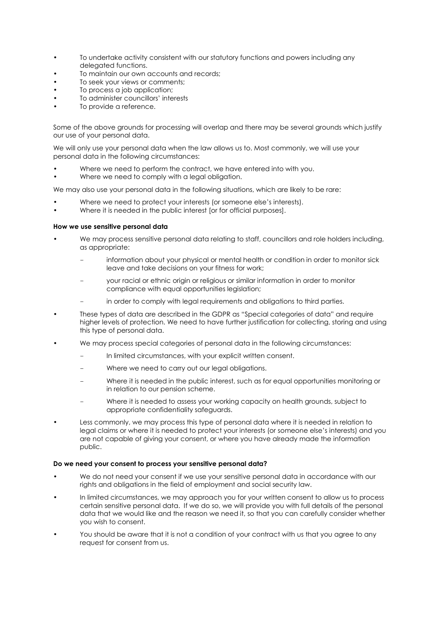- To undertake activity consistent with our statutory functions and powers including any delegated functions.
- To maintain our own accounts and records:
- To seek your views or comments;
- To process a job application;
- To administer councillors' interests
- To provide a reference.

Some of the above grounds for processing will overlap and there may be several grounds which justify our use of your personal data.

We will only use your personal data when the law allows us to. Most commonly, we will use your personal data in the following circumstances:

- Where we need to perform the contract, we have entered into with you.
- Where we need to comply with a legal obligation.

We may also use your personal data in the following situations, which are likely to be rare:

- Where we need to protect your interests (or someone else's interests).
- Where it is needed in the public interest for for official purposes.

## **How we use sensitive personal data**

- We may process sensitive personal data relating to staff, councillors and role holders including, as appropriate:
	- information about your physical or mental health or condition in order to monitor sick leave and take decisions on your fitness for work;
	- your racial or ethnic origin or religious or similar information in order to monitor compliance with equal opportunities legislation;
	- in order to comply with legal requirements and obligations to third parties.
- These types of data are described in the GDPR as "Special categories of data" and require higher levels of protection. We need to have further justification for collecting, storing and using this type of personal data.
- We may process special categories of personal data in the following circumstances:
	- In limited circumstances, with your explicit written consent.
	- Where we need to carry out our legal obligations.
	- Where it is needed in the public interest, such as for equal opportunities monitoring or in relation to our pension scheme.
	- Where it is needed to assess your working capacity on health grounds, subject to appropriate confidentiality safeguards.
- Less commonly, we may process this type of personal data where it is needed in relation to legal claims or where it is needed to protect your interests (or someone else's interests) and you are not capable of giving your consent, or where you have already made the information public.

## **Do we need your consent to process your sensitive personal data?**

- We do not need your consent if we use your sensitive personal data in accordance with our rights and obligations in the field of employment and social security law.
- In limited circumstances, we may approach you for your written consent to allow us to process certain sensitive personal data. If we do so, we will provide you with full details of the personal data that we would like and the reason we need it, so that you can carefully consider whether you wish to consent.
- You should be aware that it is not a condition of your contract with us that you agree to any request for consent from us.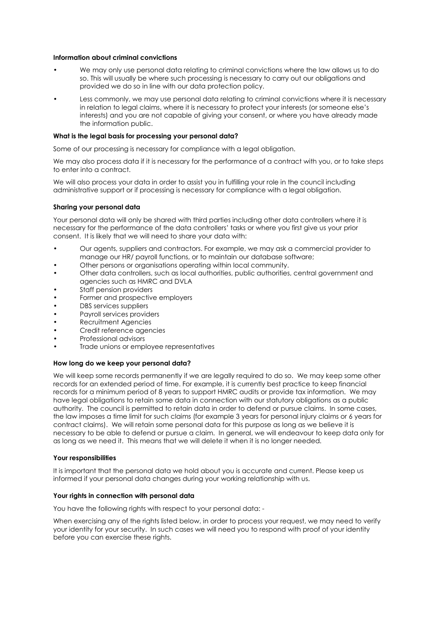# **Information about criminal convictions**

- We may only use personal data relating to criminal convictions where the law allows us to do so. This will usually be where such processing is necessary to carry out our obligations and provided we do so in line with our data protection policy.
- Less commonly, we may use personal data relating to criminal convictions where it is necessary in relation to legal claims, where it is necessary to protect your interests (or someone else's interests) and you are not capable of giving your consent, or where you have already made the information public.

## **What is the legal basis for processing your personal data?**

Some of our processing is necessary for compliance with a legal obligation.

We may also process data if it is necessary for the performance of a contract with you, or to take steps to enter into a contract.

We will also process your data in order to assist you in fulfilling your role in the council including administrative support or if processing is necessary for compliance with a legal obligation.

## **Sharing your personal data**

Your personal data will only be shared with third parties including other data controllers where it is necessary for the performance of the data controllers' tasks or where you first give us your prior consent. It is likely that we will need to share your data with:

- Our agents, suppliers and contractors. For example, we may ask a commercial provider to manage our HR/ payroll functions, or to maintain our database software;
- Other persons or organisations operating within local community.
- Other data controllers, such as local authorities, public authorities, central government and agencies such as HMRC and DVLA
- Staff pension providers
- Former and prospective employers
- DBS services suppliers
- Payroll services providers
- Recruitment Agencies
- Credit reference agencies
- Professional advisors
- Trade unions or employee representatives

#### **How long do we keep your personal data?**

We will keep some records permanently if we are legally required to do so. We may keep some other records for an extended period of time. For example, it is currently best practice to keep financial records for a minimum period of 8 years to support HMRC audits or provide tax information. We may have legal obligations to retain some data in connection with our statutory obligations as a public authority. The council is permitted to retain data in order to defend or pursue claims. In some cases, the law imposes a time limit for such claims (for example 3 years for personal injury claims or 6 years for contract claims). We will retain some personal data for this purpose as long as we believe it is necessary to be able to defend or pursue a claim. In general, we will endeavour to keep data only for as long as we need it. This means that we will delete it when it is no longer needed.

#### **Your responsibilities**

It is important that the personal data we hold about you is accurate and current. Please keep us informed if your personal data changes during your working relationship with us.

#### **Your rights in connection with personal data**

You have the following rights with respect to your personal data: -

When exercising any of the rights listed below, in order to process your request, we may need to verify your identity for your security. In such cases we will need you to respond with proof of your identity before you can exercise these rights.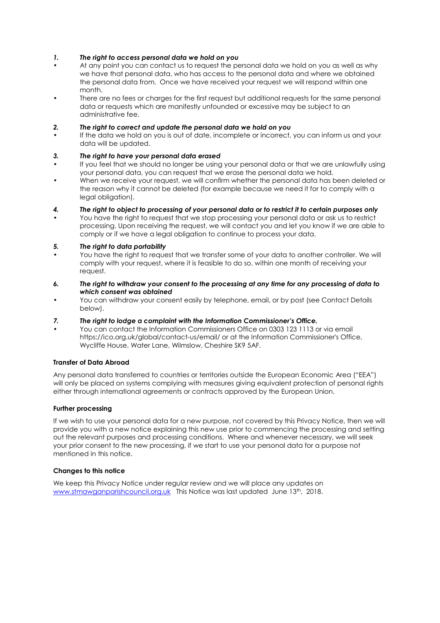# *1. The right to access personal data we hold on you*

- At any point you can contact us to request the personal data we hold on you as well as why we have that personal data, who has access to the personal data and where we obtained the personal data from. Once we have received your request we will respond within one month.
- There are no fees or charges for the first request but additional requests for the same personal data or requests which are manifestly unfounded or excessive may be subject to an administrative fee.

## *2. The right to correct and update the personal data we hold on you*

If the data we hold on you is out of date, incomplete or incorrect, you can inform us and your data will be updated.

# *3. The right to have your personal data erased*

- If you feel that we should no longer be using your personal data or that we are unlawfully using your personal data, you can request that we erase the personal data we hold.
- When we receive your request, we will confirm whether the personal data has been deleted or the reason why it cannot be deleted (for example because we need it for to comply with a legal obligation).
- *4. The right to object to processing of your personal data or to restrict it to certain purposes only*
- You have the right to request that we stop processing your personal data or ask us to restrict processing. Upon receiving the request, we will contact you and let you know if we are able to comply or if we have a legal obligation to continue to process your data.

# *5. The right to data portability*

- You have the right to request that we transfer some of your data to another controller. We will comply with your request, where it is feasible to do so, within one month of receiving your request.
- *6. The right to withdraw your consent to the processing at any time for any processing of data to which consent was obtained*
- You can withdraw your consent easily by telephone, email, or by post (see Contact Details below).
- *7. The right to lodge a complaint with the Information Commissioner's Office.*
- You can contact the Information Commissioners Office on 0303 123 1113 or via email https://ico.org.uk/global/contact-us/email/ or at the Information Commissioner's Office, Wycliffe House, Water Lane, Wilmslow, Cheshire SK9 5AF.

# **Transfer of Data Abroad**

Any personal data transferred to countries or territories outside the European Economic Area ("EEA") will only be placed on systems complying with measures giving equivalent protection of personal rights either through international agreements or contracts approved by the European Union.

## **Further processing**

If we wish to use your personal data for a new purpose, not covered by this Privacy Notice, then we will provide you with a new notice explaining this new use prior to commencing the processing and setting out the relevant purposes and processing conditions. Where and whenever necessary, we will seek your prior consent to the new processing, if we start to use your personal data for a purpose not mentioned in this notice.

## **Changes to this notice**

We keep this Privacy Notice under regular review and we will place any updates on www.stmawganparishcouncil.org.uk This Notice was last updated June 13<sup>th</sup>, 2018.